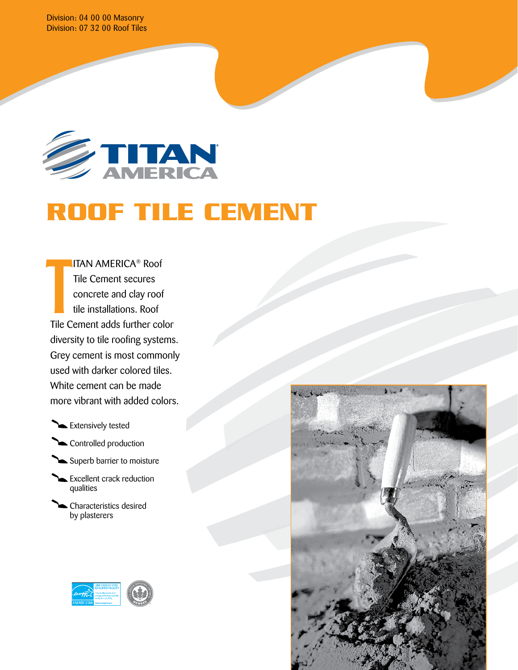Division: 04 00 00 Masonry Division: 07 32 00 Roof Tiles



# **ROOF TILE CEMENT**

ITAN AMERICA® Roof Tile Cement secures concrete and clay roof tile installations. Roof Tile Cement adds further color diversity to tile roofing systems. Grey cement is most commonly used with darker colored tiles. White cement can be made more vibrant with added colors.  $\frac{1}{\sqrt{1-\epsilon}}$ 

Extensively tested



- Superb barrier to moisture
- Excellent crack reduction qualities
- Characteristics desired by plasterers